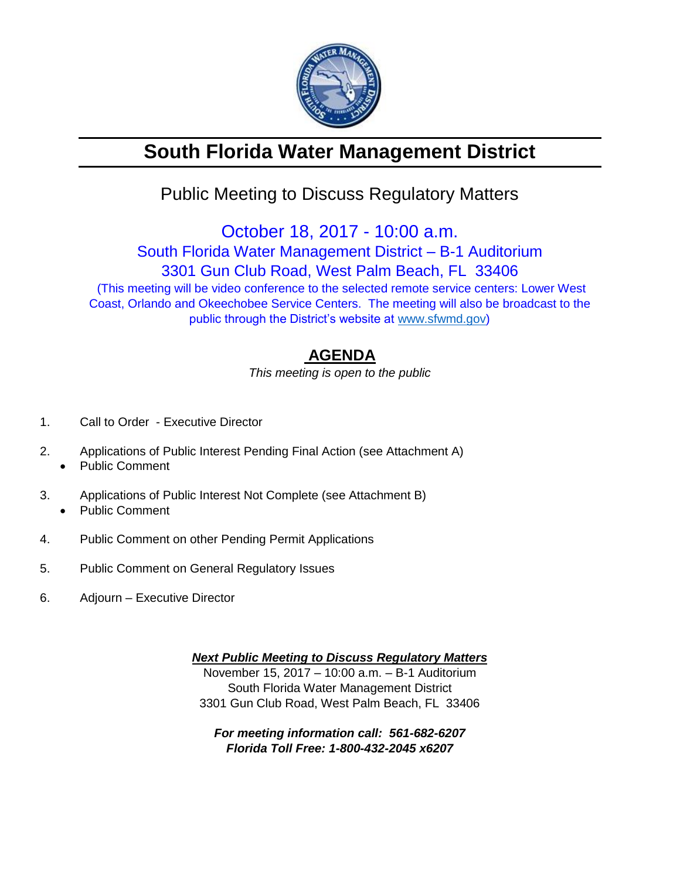

# **South Florida Water Management District**

## Public Meeting to Discuss Regulatory Matters

October 18, 2017 - 10:00 a.m. South Florida Water Management District – B-1 Auditorium

3301 Gun Club Road, West Palm Beach, FL 33406

(This meeting will be video conference to the selected remote service centers: Lower West Coast, Orlando and Okeechobee Service Centers. The meeting will also be broadcast to the public through the District's website at [www.sfwmd.gov\)](http://www.sfwmd.gov/)

### **AGENDA**

*This meeting is open to the public*

- 1. Call to Order Executive Director
- 2. Applications of Public Interest Pending Final Action (see Attachment A)
	- Public Comment
- 3. Applications of Public Interest Not Complete (see Attachment B) • Public Comment
- 4. Public Comment on other Pending Permit Applications
- 5. Public Comment on General Regulatory Issues
- 6. Adjourn Executive Director

*Next Public Meeting to Discuss Regulatory Matters* November 15, 2017 – 10:00 a.m. – B-1 Auditorium South Florida Water Management District 3301 Gun Club Road, West Palm Beach, FL 33406

*For meeting information call: 561-682-6207 Florida Toll Free: 1-800-432-2045 x6207*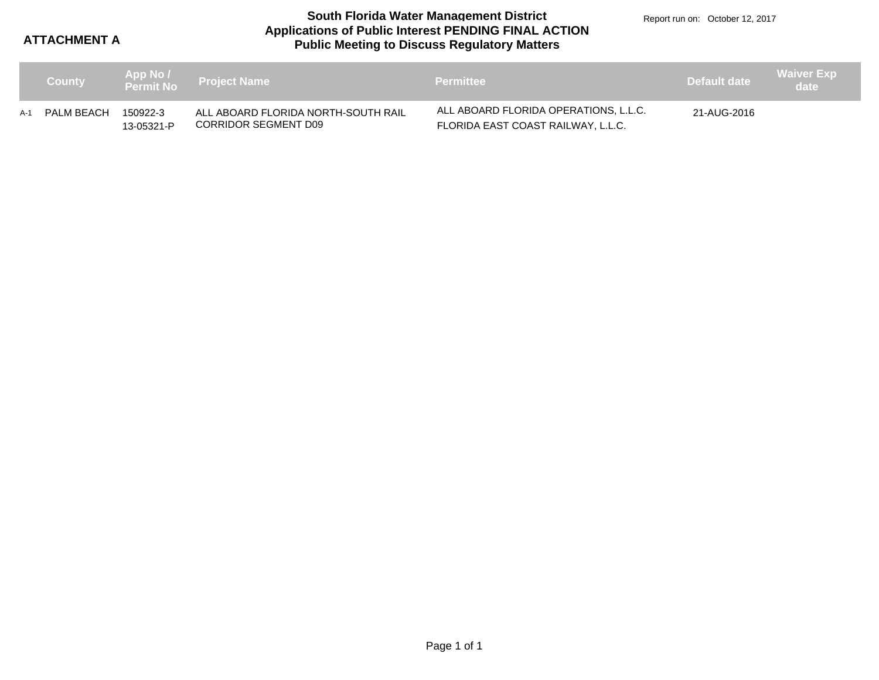**ATTACHMENT A**

#### **Applications of Public Interest PENDING FINAL ACTION Public Meeting to Discuss Regulatory Matters South Florida Water Management District**

Report run on: October 12, 2017

|     | <b>County</b> |                        | App No /<br>Permit No Project Name                          | <b>Permittee</b>                                                            | Default date | <b>Waiver Exp</b><br>date |
|-----|---------------|------------------------|-------------------------------------------------------------|-----------------------------------------------------------------------------|--------------|---------------------------|
| A-1 | PALM BEACH    | 150922-3<br>13-05321-P | ALL ABOARD FLORIDA NORTH-SOUTH RAIL<br>CORRIDOR SEGMENT D09 | ALL ABOARD FLORIDA OPERATIONS, L.L.C.<br>FLORIDA EAST COAST RAILWAY, L.L.C. | 21-AUG-2016  |                           |